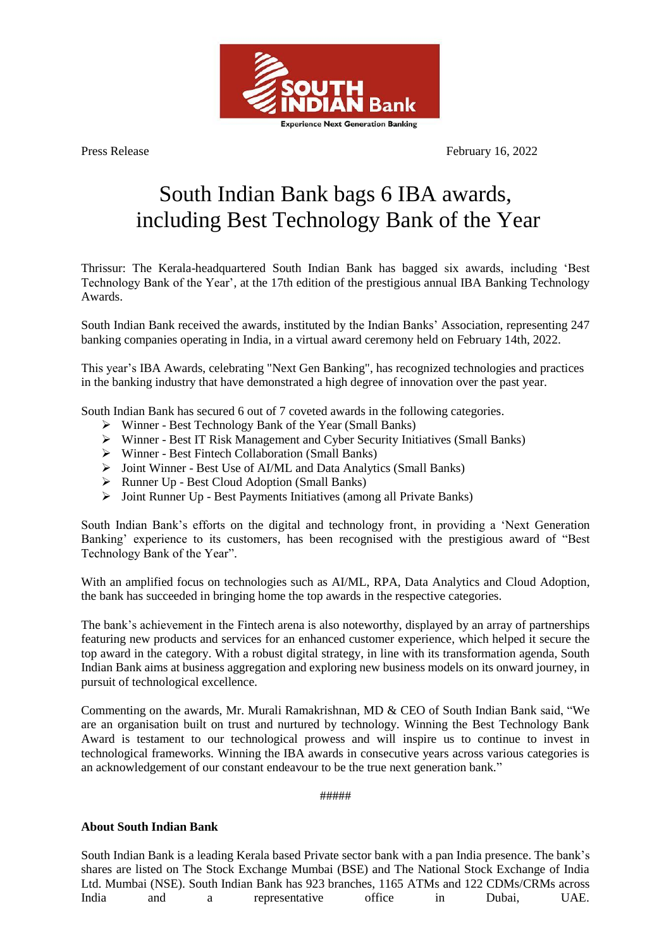

Press Release February 16, 2022

## South Indian Bank bags 6 IBA awards, including Best Technology Bank of the Year

Thrissur: The Kerala-headquartered South Indian Bank has bagged six awards, including 'Best Technology Bank of the Year', at the 17th edition of the prestigious annual IBA Banking Technology Awards.

South Indian Bank received the awards, instituted by the Indian Banks' Association, representing 247 banking companies operating in India, in a virtual award ceremony held on February 14th, 2022.

This year's IBA Awards, celebrating "Next Gen Banking", has recognized technologies and practices in the banking industry that have demonstrated a high degree of innovation over the past year.

South Indian Bank has secured 6 out of 7 coveted awards in the following categories.

- Winner Best Technology Bank of the Year (Small Banks)
- Winner Best IT Risk Management and Cyber Security Initiatives (Small Banks)
- Winner Best Fintech Collaboration (Small Banks)
- Joint Winner Best Use of AI/ML and Data Analytics (Small Banks)
- Runner Up Best Cloud Adoption (Small Banks)
- Joint Runner Up Best Payments Initiatives (among all Private Banks)

South Indian Bank's efforts on the digital and technology front, in providing a 'Next Generation Banking' experience to its customers, has been recognised with the prestigious award of "Best Technology Bank of the Year".

With an amplified focus on technologies such as AI/ML, RPA, Data Analytics and Cloud Adoption, the bank has succeeded in bringing home the top awards in the respective categories.

The bank's achievement in the Fintech arena is also noteworthy, displayed by an array of partnerships featuring new products and services for an enhanced customer experience, which helped it secure the top award in the category. With a robust digital strategy, in line with its transformation agenda, South Indian Bank aims at business aggregation and exploring new business models on its onward journey, in pursuit of technological excellence.

Commenting on the awards, Mr. Murali Ramakrishnan, MD & CEO of South Indian Bank said, "We are an organisation built on trust and nurtured by technology. Winning the Best Technology Bank Award is testament to our technological prowess and will inspire us to continue to invest in technological frameworks. Winning the IBA awards in consecutive years across various categories is an acknowledgement of our constant endeavour to be the true next generation bank."

## #####

## **About South Indian Bank**

South Indian Bank is a leading Kerala based Private sector bank with a pan India presence. The bank's shares are listed on The Stock Exchange Mumbai (BSE) and The National Stock Exchange of India Ltd. Mumbai (NSE). South Indian Bank has 923 branches, 1165 ATMs and 122 CDMs/CRMs across India and a representative office in Dubai, UAE.